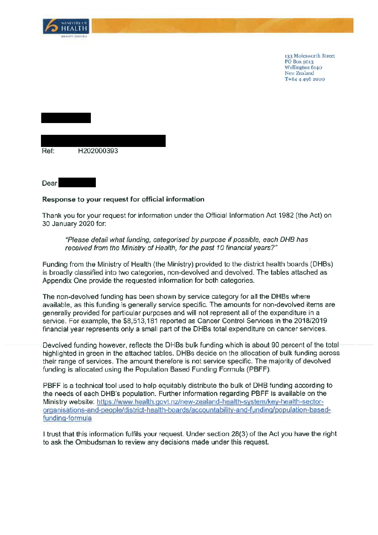

Dear

133 Molesworth Street PO Box 5013 Wellington 6140 New Zealand T+64 4 496 2000

| Ref. | H202000393 |  |
|------|------------|--|
|      |            |  |

## Response to your request for official information

Thank you for your request for information under the Official Information Act 1982 (the Act) on 30 January 2020 for:

"Please detail what funding, categorised by purpose if possible, each DHB has received from the Ministry of Health, for the past 10 financial years?"

Funding from the Ministry of Health (the Ministry) provided to the district health boards (DHBs) is broadly classified into two categories, non-devolved and devolved. The tables attached as Appendix One provide the requested information for both categories.

The non-devolved funding has been shown by service category for all the DHBs where available, as this funding is generally service specific. The amounts for non-devolved items are generally provided for particular purposes and will not represent all of the expenditure in a service. For example, the \$8,513,181 reported as Cancer Control Services in the 2018/2019 financial year represents only a small part of the DHBs total expenditure on cancer services.

Devolved funding however, reflects the DHBs bulk funding which is about 90 percent of the total highlighted in green in the attached tables. DHBs decide on the allocation of bulk funding across their range of services. The amount therefore is not service specific. The majority of devolved funding is allocated using the Population Based Funding Formula (PBFF).

PBFF is a technical tool used to help equitably distribute the bulk of DHB funding according to the needs of each DHB's population. Further information regarding PBFF is available on the Ministry website: https://www.health.govt.nz/new-zealand-health-system/key-health-sectororganisations-and-people/district-health-boards/accountability-and-funding/population-basedfunding-formula

I trust that this information fulfils your request. Under section 28(3) of the Act you have the right to ask the Ombudsman to review any decisions made under this request.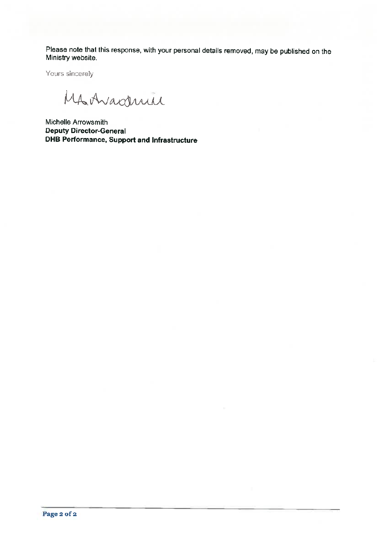Please note that this response, with your personal details removed, may be published on the Ministry website.

Yours sincerely

MAAvaderice

Michelle Arrowsmith **Deputy Director-General** DHB Performance, Support and Infrastructure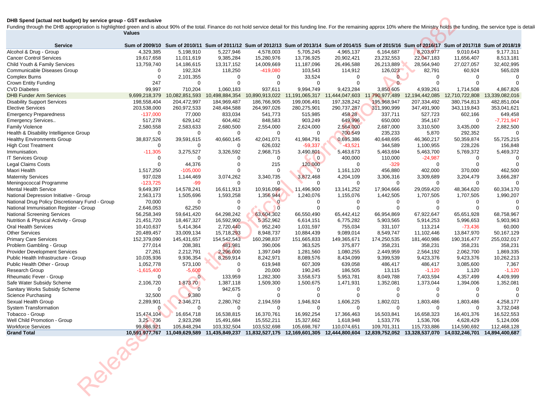## **DHB Spend (actual not budget) by service group - GST exclusive**

| <b>Service</b>                                            |                        |                          | Sum of 2009/10 Sum of 2010/11 Sum of 2011/12 Sum of 2012/13 Sum of 2013/14 Sum of 2014/15 Sum of 2015/16 Sum of 2016/17 Sum of 2017/18 Sum of 2018/19 |                       |                           |                       |                          |                          |                          |                          |
|-----------------------------------------------------------|------------------------|--------------------------|-------------------------------------------------------------------------------------------------------------------------------------------------------|-----------------------|---------------------------|-----------------------|--------------------------|--------------------------|--------------------------|--------------------------|
| Alcohol & Drug - Group                                    | 4,329,385              | 5,198,910                | 5,227,946                                                                                                                                             | 4,578,003             | 5,705,245                 | 4,965,137             | 6,164,687                | 8,203,977                | 9,010,643                | 9,177,311                |
| <b>Cancer Control Services</b>                            | 19,617,658             | 11,011,619               | 9,385,284                                                                                                                                             | 15,280,976            | 13,736,925                | 20,902,421            | 23,232,553               | 22,047,183               | 11,656,407               | 8,513,181                |
| Child Youth & Family Services                             | 13,759,740             | 14,186,615               | 13,317,152                                                                                                                                            | 14,009,669            | 11,187,096                | 26,496,588            | 26,213,889               | 28,564,940               | 27,027,057               | 32,402,995               |
| Communicable Diseases Group                               | $\Omega$               | 192,324                  | 118,250                                                                                                                                               | $-419,080$            | 103,543                   | 114,912               | 126,023                  | 82,791                   | 60,924                   | 565,028                  |
| <b>Complex Burns</b>                                      | 0                      | 2,101,355                | $\Omega$                                                                                                                                              | 0                     | 33,524                    | 0                     | $\Omega$                 | 0                        | $\Omega$                 |                          |
| Crown Entity Funding                                      | 247                    | $\Omega$                 | $\Omega$                                                                                                                                              | $\Omega$              | $\mathbf 0$               | 0                     | $\mathbf{0}$             | $\Omega$                 |                          |                          |
| <b>CVD Diabetes</b>                                       | 99,997                 | 710,204                  | 1,060,183                                                                                                                                             | 937,611               | 9,994,749                 | 9,423,284             | 3,850 605                | 4,939,261                | 1,714,508                | 4,867,826                |
| <b>DHB Funder Arm Services</b>                            | 9,699,218,379          | 10,082,851,593           | 10,498,884,354                                                                                                                                        | 10,890,913,022        | 11,191,065,317            | 11,444,047,603        | 11 790,977,489           | 12,194,442,085           | 12,710,722,808           | 13,339,082,016           |
| <b>Disability Support Services</b>                        | 198,558,404            | 204,472,997              | 184,969,487                                                                                                                                           | 186,766,905           | 199,006,491               | 197,328,242           | 195,968,947              | 207,334,492              | 380,754,813              | 482,851,004              |
| <b>Elective Services</b>                                  | 203,538,000            | 260,972,533              | 248,484,588                                                                                                                                           | 264,997,026           | 280,275,901               | 290,737,287           | 311,990,999              | 347,491,900              | 343,119,843              | 353,041,621              |
| <b>Emergency Preparedness</b>                             | $-137,000$             | 77,000                   | 833,034                                                                                                                                               | 541,773               | 515,985                   | 458 28                | 337,711                  | 527,723                  | 602,166                  | 649,458                  |
| Emergency Services                                        | 517,278                | 629,142                  | 604,462                                                                                                                                               | 848,583               | 903,249                   | 649,996               | 650,000                  | 354,167                  | $\Omega$                 | $-7,721,947$             |
| <b>Family Violence</b>                                    | 2,580,558              | 2,583,633                | 2,680,500                                                                                                                                             | 2,554,000             | 2,624,000                 | 2,564,000             | 2,687,000                | 3,310,500                | 3,435,000                | 2,882,500                |
| Health & Disability Intelligence Group                    | $\mathbf 0$            | $\mathbf 0$              | $\mathbf 0$                                                                                                                                           | 0                     | $\mathbf 0$               | 700 549               | 235,233                  | 5,870                    | 292,352                  | $\Omega$                 |
| <b>Healthy Environments Group</b>                         | 38,837,526             | 39,591,615               | 40,660,145                                                                                                                                            | 42,041,071            | 41,984,791                | 0,695,386             | 40,648,695               | 46,360,217               | 50,359,874               | 55,725,215               |
| <b>High Cost Treatment</b>                                | $\mathbf 0$            | $\Omega$                 | $\Omega$                                                                                                                                              | 626,032               | $-59,337$                 | $-43,521$             | 344,589                  | 1,100,955                | 228,226                  | 156,848                  |
| Immunisation.                                             | $-11,305$              | 3,275,527                | 3,326,592                                                                                                                                             | 2,968,715             | 3,490,801                 | 5,463,673             | 5,463,694                | 5,463,700                | 5,769,372                | 5,469,372                |
| <b>IT Services Group</b>                                  | $\Omega$               | $\Omega$                 | $\Omega$                                                                                                                                              | 0                     | $\overline{0}$            | 400,000               | 110,000                  | $-24,987$                | $\Omega$                 |                          |
| Legal Claims Costs                                        | $\Omega$               | 44,376                   | $\Omega$                                                                                                                                              | 215                   | 120,000                   | 0                     | $-329$                   | 0                        | $\Omega$                 |                          |
| Maori Health                                              | 1,517,250              | $-105,000$               | $\Omega$                                                                                                                                              | $\Omega$              | $\overline{0}$            | 1,161,120             | 456,880                  | 402,000                  | 370,000                  | 462,500                  |
| <b>Maternity Services</b>                                 | 937,028                | 1,144,469                | 3,074,262                                                                                                                                             | 3,340,735             | 3,872,468                 | 4,204,109             | 3,306,316                | 3,309,689                | 3,204,479                | 3,666,287                |
| Meningococcal Programme                                   | $-123,725$             | -99                      | $\Omega$                                                                                                                                              | $\mathbf{0}$          | $\mathbf 0$               | $\mathbf 0$           | $\Omega$                 | $\mathbf 0$              | $\Omega$                 |                          |
| Mental Health Service                                     | 9,649,397              | 14,578,241               | 16,611,913                                                                                                                                            | 10,916,096            | 11,496,900                | 13,141,252            | 17,904,666               | 29,059,420               | 48,364,620               | 60,334,170               |
| National Depression Initiative - Group                    | 2,563,173              | 1,505,696                | 1,593,258                                                                                                                                             | 1,356 944             | 1,240,076                 | 1,155,076             | 1,442,505                | 1,707,505                | 1,707,505                | 1,990,207                |
| National Drug Policy Discretionary Fund - Group           | 70,000                 | $\Omega$                 | $\Omega$                                                                                                                                              | $\Omega$              | $\Omega$                  | 0                     | $\Omega$                 | 0                        | 0                        |                          |
| National Immunisation Register - Group                    | 2,646,053              | 62,250                   | $\Omega$                                                                                                                                              | $\overline{0}$        | $\mathbf 0$               | 0                     | O                        | $\Omega$                 |                          |                          |
| <b>National Screening Services</b>                        | 56,258,349             | 59,641,420               | 64,298,242                                                                                                                                            | 63,604,302            | 66,550,490                | 65,442,412            | 66,954,869               | 67,922,647               | 65,651,928               | 68,758,967               |
| Nutrition & Physical Activity - Group                     | 21,451,720             | 18,467,327               | 16,592,900                                                                                                                                            | 5 352,962             | 6,614,151                 | 6,775,282             | 5,903,565                | 5,914,253                | 5,996,653                | 5,903,963                |
| Oral Health Services                                      | 10,410,637             | 5,414,364                | 2,720,440                                                                                                                                             | 952,240               | 1,031,597                 | 755,034               | 331,107                  | 113,214                  | $-73,436$                | 60,000                   |
| <b>Other Services</b>                                     | 20,489,457             | 33,009,134               | 15,718,293                                                                                                                                            | 8,948,737             | 10,884,439                | 9,089,014             | 8,549,747                | 11,102,446               | 13,847,970               | 50,167,129               |
| <b>Primary Care Services</b>                              | 152,379,090            | 145,431,657              | 154,542,543                                                                                                                                           | 160,298,837           | 151,665,833               | 149,365,671           | 174,250,535              | 181,460,986              | 190,316,477              | 255,032,017              |
| Problem Gambling - Group                                  | 277,014                | 208,381                  | 481,981                                                                                                                                               | 390,006               | 363,525                   | 375,877               | 358,231                  | 358,231                  | 358,231                  | 358,231                  |
| <b>Provider Development Services</b>                      | 27,261                 | 2,212,791                | 2,296 000                                                                                                                                             | 1,397,049             | 1,281,560                 | 1,080,255             | 2,449,959                | 2,564,192                | 2,062,700                | 1,869,335                |
| Public Health Infrastructure - Group                      | 10,035,936             | 9,936,354                | 8,259,914                                                                                                                                             | 8,242,971             | 8,089,576                 | 8,434,099             | 9,399,539                | 9,423,376                | 9,423,376                | 10,262,213               |
| Public Health Other - Group                               | 1,052,778              | 573,100                  | $\Omega$                                                                                                                                              | 619,948               | 607,309                   | 639,058               | 486,417                  | 486,417                  | 3,085,600                | 7,367                    |
| Research Group                                            | $-1,615,400$           | $-5,600$                 | $\Omega$                                                                                                                                              | 20,000                | 190,245                   | 186,505               | 13,115                   | $-1,120$                 | 1,120                    | $-1,120$                 |
| Rheumatic Fever - Group                                   | 0                      | $\mathbf{0}$             | 133,959                                                                                                                                               | 1,282,300             | 3,558,573                 | 5,953,781             | 8,049,788                | 7,403,594                | 4,357,499                | 4,409,999                |
| Safe Water Subsidy Scheme                                 | 2,106,720              | 187370                   | 1,387,118                                                                                                                                             | 1,509,300             | 1,500,675                 | 1,471,931             | 1,352,081                | 1,373,044                | 1,394,006                | 1,352,081                |
| Sanitary Works Subsidy Scheme                             | $\Omega$               | $\overline{0}$           | 942,675                                                                                                                                               | 0                     | $\Omega$                  | O                     | $\Omega$                 | $\Omega$                 |                          |                          |
| Science Purchasing                                        | 32,500                 | 9,380                    | $\mathbf 0$                                                                                                                                           | 0                     | 0                         | 0                     | $\Omega$                 | $\mathbf 0$              | $\Omega$                 |                          |
| Sexual Health Group                                       | 2,289,901<br>$\Omega$  | 2 346,271<br>$\Omega$    | 2,280,762<br>$\Omega$                                                                                                                                 | 2,194,559<br>$\Omega$ | 1,946,924<br>$\mathbf 0$  | 1,606,225<br>$\Omega$ | 1,802,021<br>$\Omega$    | 1,803,486<br>$\Omega$    | 1,803,486<br>$\Omega$    | 4,258,177                |
|                                                           | 15,474,104             |                          |                                                                                                                                                       |                       |                           |                       |                          |                          |                          | 3,732,048                |
| System Transformation                                     |                        | 16,654,718               | 16,538,815                                                                                                                                            | 16,370,761            | 16,992,254                | 17,366,463            | 16,503,841               | 16,658,323               | 16,401,376               | 16,522,553               |
| Tobacco - Group                                           |                        |                          | 15,491,684                                                                                                                                            | 15,552,211            | 15,327,662<br>105,698,767 | 1,618,948             | 1,533,776<br>109,701,311 | 1,536,706<br>115,733,886 | 4,628,429<br>114,590,692 | 5,124,006<br>112,468,128 |
| Well Child Promotion - Group<br><b>Workforce Services</b> | 3,25 736<br>99,886,921 | 2,923,298<br>105,848,294 | 103,332,504                                                                                                                                           | 103,532,698           |                           | 110,074,651           |                          |                          |                          |                          |

10,591 977,767